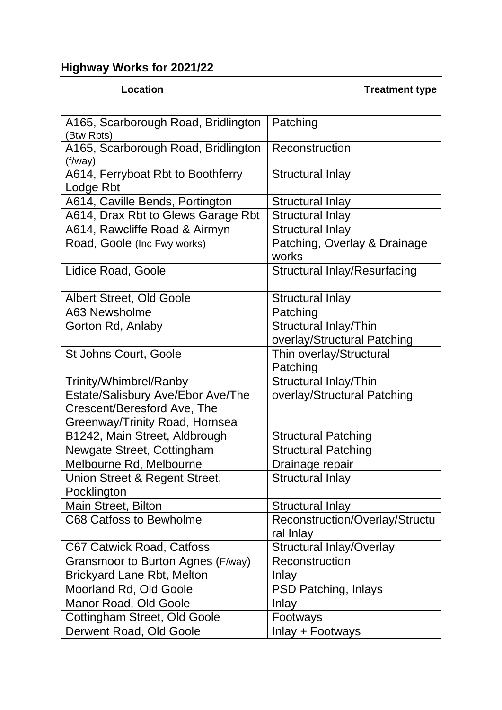## **Highway Works for 2021/22**

## **Location Treatment type**

| A165, Scarborough Road, Bridlington<br>(Btw Rbts) | Patching                              |
|---------------------------------------------------|---------------------------------------|
| A165, Scarborough Road, Bridlington<br>(f/way)    | Reconstruction                        |
| A614, Ferryboat Rbt to Boothferry<br>Lodge Rbt    | Structural Inlay                      |
| A614, Caville Bends, Portington                   | <b>Structural Inlay</b>               |
| A614, Drax Rbt to Glews Garage Rbt                | <b>Structural Inlay</b>               |
| A614, Rawcliffe Road & Airmyn                     | <b>Structural Inlay</b>               |
| Road, Goole (Inc Fwy works)                       | Patching, Overlay & Drainage<br>works |
| Lidice Road, Goole                                | <b>Structural Inlay/Resurfacing</b>   |
| <b>Albert Street, Old Goole</b>                   | <b>Structural Inlay</b>               |
| A63 Newsholme                                     | Patching                              |
| Gorton Rd, Anlaby                                 | Structural Inlay/Thin                 |
|                                                   | overlay/Structural Patching           |
| <b>St Johns Court, Goole</b>                      | Thin overlay/Structural               |
|                                                   | Patching                              |
| Trinity/Whimbrel/Ranby                            | Structural Inlay/Thin                 |
| Estate/Salisbury Ave/Ebor Ave/The                 | overlay/Structural Patching           |
| Crescent/Beresford Ave, The                       |                                       |
| Greenway/Trinity Road, Hornsea                    |                                       |
| B1242, Main Street, Aldbrough                     | <b>Structural Patching</b>            |
| Newgate Street, Cottingham                        | <b>Structural Patching</b>            |
| Melbourne Rd, Melbourne                           | Drainage repair                       |
| Union Street & Regent Street,<br>Pocklington      | <b>Structural Inlay</b>               |
| Main Street, Bilton                               | <b>Structural Inlay</b>               |
| C68 Catfoss to Bewholme                           | Reconstruction/Overlay/Structu        |
|                                                   | ral Inlay                             |
| <b>C67 Catwick Road, Catfoss</b>                  | <b>Structural Inlay/Overlay</b>       |
| Gransmoor to Burton Agnes (F/way)                 | Reconstruction                        |
| <b>Brickyard Lane Rbt, Melton</b>                 | Inlay                                 |
| Moorland Rd, Old Goole                            | PSD Patching, Inlays                  |
| Manor Road, Old Goole                             | Inlay                                 |
| Cottingham Street, Old Goole                      | Footways                              |
| Derwent Road, Old Goole                           | Inlay + Footways                      |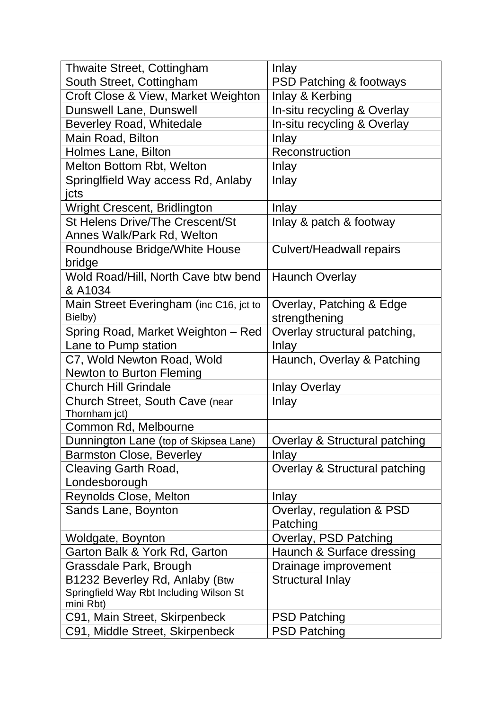| <b>Thwaite Street, Cottingham</b>          | <b>Inlay</b>                       |
|--------------------------------------------|------------------------------------|
| South Street, Cottingham                   | <b>PSD Patching &amp; footways</b> |
| Croft Close & View, Market Weighton        | Inlay & Kerbing                    |
| Dunswell Lane, Dunswell                    | In-situ recycling & Overlay        |
| <b>Beverley Road, Whitedale</b>            | In-situ recycling & Overlay        |
| Main Road, Bilton                          | Inlay                              |
| Holmes Lane, Bilton                        | Reconstruction                     |
| Melton Bottom Rbt, Welton                  | Inlay                              |
| SpringIfield Way access Rd, Anlaby         | Inlay                              |
| jcts                                       |                                    |
| Wright Crescent, Bridlington               | Inlay                              |
| <b>St Helens Drive/The Crescent/St</b>     | Inlay & patch & footway            |
| Annes Walk/Park Rd, Welton                 |                                    |
| Roundhouse Bridge/White House              | <b>Culvert/Headwall repairs</b>    |
| bridge                                     |                                    |
| Wold Road/Hill, North Cave btw bend        | <b>Haunch Overlay</b>              |
| & A1034                                    |                                    |
| Main Street Everingham (inc C16, jct to    | Overlay, Patching & Edge           |
| Bielby)                                    | strengthening                      |
| Spring Road, Market Weighton - Red         | Overlay structural patching,       |
| Lane to Pump station                       | Inlay                              |
| C7, Wold Newton Road, Wold                 | Haunch, Overlay & Patching         |
| <b>Newton to Burton Fleming</b>            |                                    |
| <b>Church Hill Grindale</b>                | <b>Inlay Overlay</b>               |
| Church Street, South Cave (near            | Inlay                              |
| Thornham jct)                              |                                    |
| Common Rd, Melbourne                       |                                    |
| Dunnington Lane (top of Skipsea Lane)      | Overlay & Structural patching      |
| <b>Barmston Close, Beverley</b>            | Inlay                              |
| Cleaving Garth Road,                       | Overlay & Structural patching      |
| Londesborough                              |                                    |
| Reynolds Close, Melton                     | Inlay                              |
| Sands Lane, Boynton                        | Overlay, regulation & PSD          |
|                                            | Patching                           |
| Woldgate, Boynton                          | Overlay, PSD Patching              |
| Garton Balk & York Rd, Garton              | Haunch & Surface dressing          |
| Grassdale Park, Brough                     | Drainage improvement               |
| B1232 Beverley Rd, Anlaby (Btw             | <b>Structural Inlay</b>            |
| Springfield Way Rbt Including Wilson St    |                                    |
| mini Rbt)<br>C91, Main Street, Skirpenbeck | <b>PSD Patching</b>                |
| C91, Middle Street, Skirpenbeck            | <b>PSD Patching</b>                |
|                                            |                                    |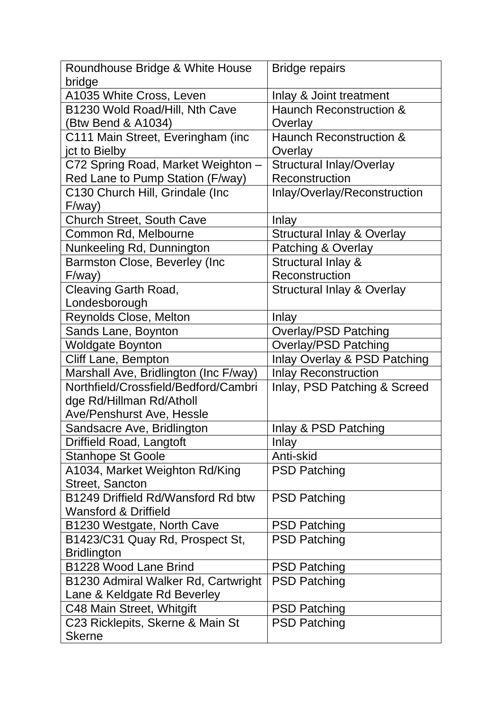| Roundhouse Bridge & White House       | <b>Bridge repairs</b>                 |
|---------------------------------------|---------------------------------------|
| bridge                                |                                       |
| A1035 White Cross, Leven              | Inlay & Joint treatment               |
| B1230 Wold Road/Hill, Nth Cave        | <b>Haunch Reconstruction &amp;</b>    |
| (Btw Bend & A1034)                    | Overlay                               |
| C111 Main Street, Everingham (inc     | <b>Haunch Reconstruction &amp;</b>    |
| jct to Bielby                         | Overlay                               |
| C72 Spring Road, Market Weighton -    | <b>Structural Inlay/Overlay</b>       |
| Red Lane to Pump Station (F/way)      | Reconstruction                        |
| C130 Church Hill, Grindale (Inc       | Inlay/Overlay/Reconstruction          |
| F/way)                                |                                       |
| <b>Church Street, South Cave</b>      | Inlay                                 |
| Common Rd, Melbourne                  | <b>Structural Inlay &amp; Overlay</b> |
| Nunkeeling Rd, Dunnington             | Patching & Overlay                    |
| Barmston Close, Beverley (Inc         | Structural Inlay &                    |
| F/way)                                | Reconstruction                        |
| <b>Cleaving Garth Road,</b>           | <b>Structural Inlay &amp; Overlay</b> |
| Londesborough                         |                                       |
| Reynolds Close, Melton                | Inlay                                 |
| Sands Lane, Boynton                   | <b>Overlay/PSD Patching</b>           |
| <b>Woldgate Boynton</b>               | <b>Overlay/PSD Patching</b>           |
| Cliff Lane, Bempton                   | Inlay Overlay & PSD Patching          |
| Marshall Ave, Bridlington (Inc F/way) | <b>Inlay Reconstruction</b>           |
| Northfield/Crossfield/Bedford/Cambri  | Inlay, PSD Patching & Screed          |
| dge Rd/Hillman Rd/Atholl              |                                       |
| <b>Ave/Penshurst Ave, Hessle</b>      |                                       |
| Sandsacre Ave, Bridlington            | Inlay & PSD Patching                  |
| Driffield Road, Langtoft              | Inlay                                 |
| <b>Stanhope St Goole</b>              | Anti-skid                             |
| A1034, Market Weighton Rd/King        | <b>PSD Patching</b>                   |
| Street, Sancton                       |                                       |
| B1249 Driffield Rd/Wansford Rd btw    | <b>PSD Patching</b>                   |
| <b>Wansford &amp; Driffield</b>       |                                       |
| B1230 Westgate, North Cave            | <b>PSD Patching</b>                   |
| B1423/C31 Quay Rd, Prospect St,       | <b>PSD Patching</b>                   |
| <b>Bridlington</b>                    |                                       |
| B1228 Wood Lane Brind                 | <b>PSD Patching</b>                   |
| B1230 Admiral Walker Rd, Cartwright   | <b>PSD Patching</b>                   |
| Lane & Keldgate Rd Beverley           |                                       |
| C48 Main Street, Whitgift             | <b>PSD Patching</b>                   |
| C23 Ricklepits, Skerne & Main St      | <b>PSD Patching</b>                   |
| <b>Skerne</b>                         |                                       |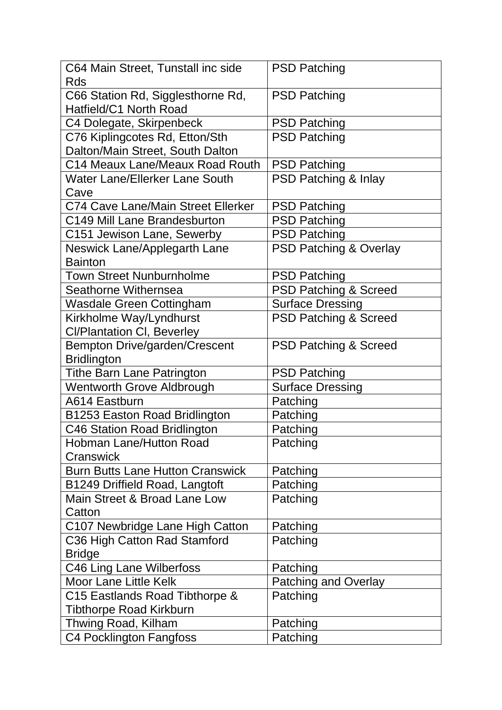| C64 Main Street, Tunstall inc side                          | <b>PSD Patching</b>               |
|-------------------------------------------------------------|-----------------------------------|
| Rds                                                         |                                   |
| C66 Station Rd, Sigglesthorne Rd,<br>Hatfield/C1 North Road | <b>PSD Patching</b>               |
| C4 Dolegate, Skirpenbeck                                    | <b>PSD Patching</b>               |
| C76 Kiplingcotes Rd, Etton/Sth                              | <b>PSD Patching</b>               |
| Dalton/Main Street, South Dalton                            |                                   |
| C14 Meaux Lane/Meaux Road Routh                             | <b>PSD Patching</b>               |
| Water Lane/Ellerker Lane South                              | <b>PSD Patching &amp; Inlay</b>   |
| Cave                                                        |                                   |
| C74 Cave Lane/Main Street Ellerker                          | <b>PSD Patching</b>               |
| C149 Mill Lane Brandesburton                                | <b>PSD Patching</b>               |
| C151 Jewison Lane, Sewerby                                  | <b>PSD Patching</b>               |
| Neswick Lane/Applegarth Lane                                | <b>PSD Patching &amp; Overlay</b> |
| <b>Bainton</b>                                              |                                   |
| <b>Town Street Nunburnholme</b>                             | <b>PSD Patching</b>               |
| Seathorne Withernsea                                        | <b>PSD Patching &amp; Screed</b>  |
| Wasdale Green Cottingham                                    | <b>Surface Dressing</b>           |
| Kirkholme Way/Lyndhurst                                     | <b>PSD Patching &amp; Screed</b>  |
| <b>CI/Plantation CI, Beverley</b>                           |                                   |
| <b>Bempton Drive/garden/Crescent</b>                        | <b>PSD Patching &amp; Screed</b>  |
| <b>Bridlington</b>                                          |                                   |
| <b>Tithe Barn Lane Patrington</b>                           | <b>PSD Patching</b>               |
| <b>Wentworth Grove Aldbrough</b>                            | <b>Surface Dressing</b>           |
| A614 Eastburn                                               | Patching                          |
| B1253 Easton Road Bridlington                               | Patching                          |
| C46 Station Road Bridlington                                | Patching                          |
| <b>Hobman Lane/Hutton Road</b>                              | Patching                          |
| Cranswick                                                   |                                   |
| <b>Burn Butts Lane Hutton Cranswick</b>                     | Patching                          |
| B1249 Driffield Road, Langtoft                              | Patching                          |
| Main Street & Broad Lane Low                                | Patching                          |
| Catton                                                      |                                   |
| C107 Newbridge Lane High Catton                             | Patching                          |
| C36 High Catton Rad Stamford                                | Patching                          |
| <b>Bridge</b>                                               |                                   |
| C46 Ling Lane Wilberfoss                                    | Patching                          |
| <b>Moor Lane Little Kelk</b>                                | Patching and Overlay              |
| C15 Eastlands Road Tibthorpe &                              | Patching                          |
| <b>Tibthorpe Road Kirkburn</b>                              |                                   |
| Thwing Road, Kilham                                         | Patching                          |
| C4 Pocklington Fangfoss                                     | Patching                          |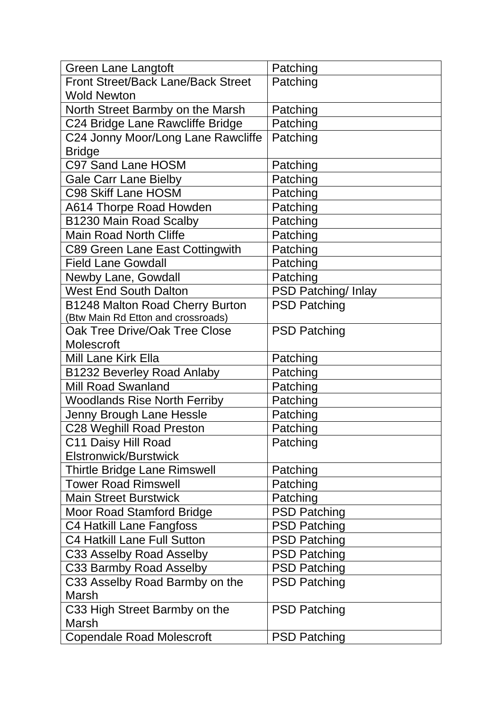| <b>Green Lane Langtoft</b>                | Patching            |
|-------------------------------------------|---------------------|
| <b>Front Street/Back Lane/Back Street</b> | Patching            |
| <b>Wold Newton</b>                        |                     |
| North Street Barmby on the Marsh          | Patching            |
| C24 Bridge Lane Rawcliffe Bridge          | Patching            |
| C24 Jonny Moor/Long Lane Rawcliffe        | Patching            |
| <b>Bridge</b>                             |                     |
| <b>C97 Sand Lane HOSM</b>                 | Patching            |
| <b>Gale Carr Lane Bielby</b>              | Patching            |
| <b>C98 Skiff Lane HOSM</b>                | Patching            |
| A614 Thorpe Road Howden                   | Patching            |
| B1230 Main Road Scalby                    | Patching            |
| <b>Main Road North Cliffe</b>             | Patching            |
| C89 Green Lane East Cottingwith           | Patching            |
| <b>Field Lane Gowdall</b>                 | Patching            |
| Newby Lane, Gowdall                       | Patching            |
| <b>West End South Dalton</b>              | PSD Patching/ Inlay |
| B1248 Malton Road Cherry Burton           | <b>PSD Patching</b> |
| (Btw Main Rd Etton and crossroads)        |                     |
| Oak Tree Drive/Oak Tree Close             | <b>PSD Patching</b> |
| <b>Molescroft</b>                         |                     |
| <b>Mill Lane Kirk Ella</b>                | Patching            |
| <b>B1232 Beverley Road Anlaby</b>         | Patching            |
| <b>Mill Road Swanland</b>                 | Patching            |
| <b>Woodlands Rise North Ferriby</b>       | Patching            |
| Jenny Brough Lane Hessle                  | Patching            |
| <b>C28 Weghill Road Preston</b>           | Patching            |
| C11 Daisy Hill Road                       | Patching            |
| <b>Elstronwick/Burstwick</b>              |                     |
| <b>Thirtle Bridge Lane Rimswell</b>       | Patching            |
| <b>Tower Road Rimswell</b>                | Patching            |
| <b>Main Street Burstwick</b>              | Patching            |
| <b>Moor Road Stamford Bridge</b>          | <b>PSD Patching</b> |
| C4 Hatkill Lane Fangfoss                  | <b>PSD Patching</b> |
| <b>C4 Hatkill Lane Full Sutton</b>        | <b>PSD Patching</b> |
| C33 Asselby Road Asselby                  | <b>PSD Patching</b> |
| C33 Barmby Road Asselby                   | <b>PSD Patching</b> |
| C33 Asselby Road Barmby on the            | <b>PSD Patching</b> |
| Marsh                                     |                     |
| C33 High Street Barmby on the             | <b>PSD Patching</b> |
| <b>Marsh</b>                              |                     |
| <b>Copendale Road Molescroft</b>          | <b>PSD Patching</b> |